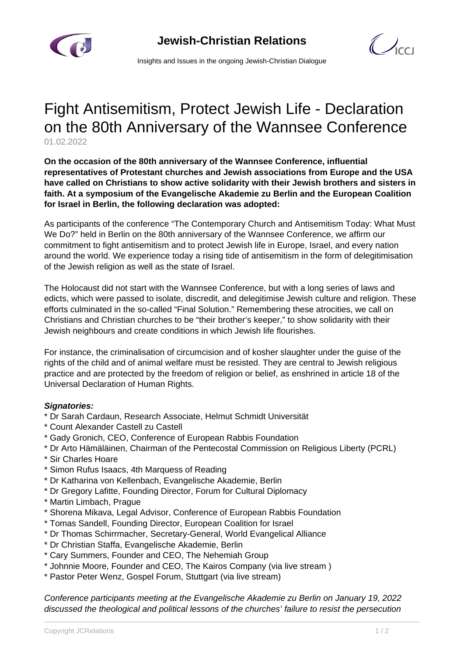



Insights and Issues in the ongoing Jewish-Christian Dialogue

## Fight Antisemitism, Protect Jewish Life - Declaration on the 80th Anniversary of the Wannsee Conference 01.02.2022

**On the occasion of the 80th anniversary of the Wannsee Conference, influential representatives of Protestant churches and Jewish associations from Europe and the USA have called on Christians to show active solidarity with their Jewish brothers and sisters in faith. At a symposium of the Evangelische Akademie zu Berlin and the European Coalition for Israel in Berlin, the following declaration was adopted:**

As participants of the conference "The Contemporary Church and Antisemitism Today: What Must We Do?" held in Berlin on the 80th anniversary of the Wannsee Conference, we affirm our commitment to fight antisemitism and to protect Jewish life in Europe, Israel, and every nation around the world. We experience today a rising tide of antisemitism in the form of delegitimisation of the Jewish religion as well as the state of Israel.

The Holocaust did not start with the Wannsee Conference, but with a long series of laws and edicts, which were passed to isolate, discredit, and delegitimise Jewish culture and religion. These efforts culminated in the so-called "Final Solution." Remembering these atrocities, we call on Christians and Christian churches to be "their brother's keeper," to show solidarity with their Jewish neighbours and create conditions in which Jewish life flourishes.

For instance, the criminalisation of circumcision and of kosher slaughter under the guise of the rights of the child and of animal welfare must be resisted. They are central to Jewish religious practice and are protected by the freedom of religion or belief, as enshrined in article 18 of the Universal Declaration of Human Rights.

## **Signatories:**

- \* Dr Sarah Cardaun, Research Associate, Helmut Schmidt Universität
- \* Count Alexander Castell zu Castell
- \* Gady Gronich, CEO, Conference of European Rabbis Foundation
- \* Dr Arto Hämäläinen, Chairman of the Pentecostal Commission on Religious Liberty (PCRL)
- \* Sir Charles Hoare
- \* Simon Rufus Isaacs, 4th Marquess of Reading
- \* Dr Katharina von Kellenbach, Evangelische Akademie, Berlin
- \* Dr Gregory Lafitte, Founding Director, Forum for Cultural Diplomacy
- \* Martin Limbach, Prague
- \* Shorena Mikava, Legal Advisor, Conference of European Rabbis Foundation
- \* Tomas Sandell, Founding Director, European Coalition for Israel
- \* Dr Thomas Schirrmacher, Secretary-General, World Evangelical Alliance
- \* Dr Christian Staffa, Evangelische Akademie, Berlin
- \* Cary Summers, Founder and CEO, The Nehemiah Group
- \* Johnnie Moore, Founder and CEO, The Kairos Company (via live stream )
- \* Pastor Peter Wenz, Gospel Forum, Stuttgart (via live stream)

Conference participants meeting at the Evangelische Akademie zu Berlin on January 19, 2022 discussed the theological and political lessons of the churches' failure to resist the persecution